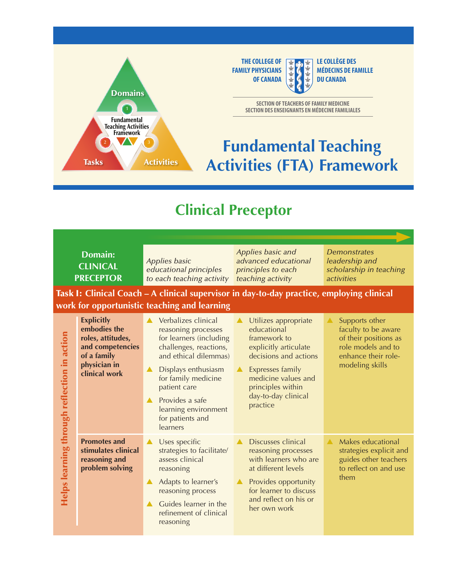

**THE COLLEGE OF LE COLLÈGE DES**<br>**FAMILY PHYSICIANS MÉDECINS DE FAMILLE OF CANADA**  $\frac{1}{2}$  **C**  $\frac{1}{2}$  **DU CANADA** 

**SECTION OF TEACHERS OF FAMILY MEDICINE SECTION DES ENSEIGNANTS EN MÉDECINE FAMILIALES** 

## **Fundamental Teaching Activities (FTA) Framework**

## **Clinical Preceptor**

|                                             | <b>Domain:</b><br><b>CLINICAL</b><br><b>PRECEPTOR</b>                                                                                     | <b>Applies basic</b><br>educational principles<br>to each teaching activity                                                                                                                                                                                                           | Applies basic and<br>advanced educational<br>principles to each<br>teaching activity                                                                                                                               | <b>Demonstrates</b><br>leadership and<br>scholarship in teaching<br>activities                                                 |  |
|---------------------------------------------|-------------------------------------------------------------------------------------------------------------------------------------------|---------------------------------------------------------------------------------------------------------------------------------------------------------------------------------------------------------------------------------------------------------------------------------------|--------------------------------------------------------------------------------------------------------------------------------------------------------------------------------------------------------------------|--------------------------------------------------------------------------------------------------------------------------------|--|
|                                             | Task I: Clinical Coach – A clinical supervisor in day-to-day practice, employing clinical<br>work for opportunistic teaching and learning |                                                                                                                                                                                                                                                                                       |                                                                                                                                                                                                                    |                                                                                                                                |  |
| Helps learning through reflection in action | <b>Explicitly</b><br>embodies the<br>roles, attitudes,<br>and competencies<br>of a family<br>physician in<br>clinical work                | Verbalizes clinical<br>reasoning processes<br>for learners (including<br>challenges, reactions,<br>and ethical dilemmas)<br>Displays enthusiasm<br>for family medicine<br>patient care<br>Provides a safe<br>$\blacktriangle$<br>learning environment<br>for patients and<br>learners | Utilizes appropriate<br>▲<br>educational<br>framework to<br>explicitly articulate<br>decisions and actions<br>Expresses family<br>▲<br>medicine values and<br>principles within<br>day-to-day clinical<br>practice | Supports other<br>faculty to be aware<br>of their positions as<br>role models and to<br>enhance their role-<br>modeling skills |  |
|                                             | <b>Promotes and</b><br>stimulates clinical<br>reasoning and<br>problem solving                                                            | Uses specific<br>▲<br>strategies to facilitate/<br>assess clinical<br>reasoning<br>Adapts to learner's<br>$\blacktriangle$<br>reasoning process<br>Guides learner in the<br>▲<br>refinement of clinical<br>reasoning                                                                  | Discusses clinical<br>reasoning processes<br>with learners who are<br>at different levels<br>Provides opportunity<br>for learner to discuss<br>and reflect on his or<br>her own work                               | Makes educational<br>▲<br>strategies explicit and<br>guides other teachers<br>to reflect on and use<br>them                    |  |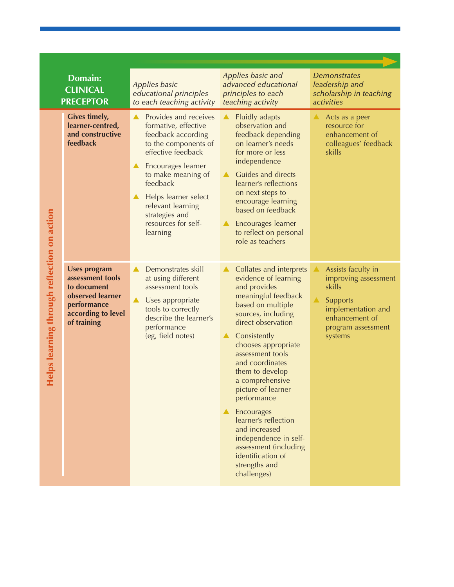|                                          | <b>Domain:</b><br><b>CLINICAL</b><br><b>PRECEPTOR</b>                                                                          | Applies basic<br>educational principles<br>to each teaching activity                                                                                                                                                                                                                              | Applies basic and<br>advanced educational<br>principles to each<br>teaching activity                                                                                                                                                                                                                                                                                                                                                                                                                                                        | <b>Demonstrates</b><br>leadership and<br>scholarship in teaching<br>activities                                                            |
|------------------------------------------|--------------------------------------------------------------------------------------------------------------------------------|---------------------------------------------------------------------------------------------------------------------------------------------------------------------------------------------------------------------------------------------------------------------------------------------------|---------------------------------------------------------------------------------------------------------------------------------------------------------------------------------------------------------------------------------------------------------------------------------------------------------------------------------------------------------------------------------------------------------------------------------------------------------------------------------------------------------------------------------------------|-------------------------------------------------------------------------------------------------------------------------------------------|
| ps learning through retlection on action | <b>Gives timely,</b><br>learner-centred,<br>and constructive<br>feedback                                                       | Provides and receives<br>$\blacktriangle$ .<br>formative, effective<br>feedback according<br>to the components of<br>effective feedback<br>Encourages learner<br>to make meaning of<br>feedback<br>Helps learner select<br>relevant learning<br>strategies and<br>resources for self-<br>learning | $\blacktriangle$<br>Fluidly adapts<br>observation and<br>feedback depending<br>on learner's needs<br>for more or less<br>independence<br>Guides and directs<br>$\blacktriangle$<br>learner's reflections<br>on next steps to<br>encourage learning<br>based on feedback<br>Encourages learner<br>to reflect on personal<br>role as teachers                                                                                                                                                                                                 | Acts as a peer<br>resource for<br>enhancement of<br>colleagues' feedback<br>skills                                                        |
|                                          | <b>Uses program</b><br>assessment tools<br>to document<br>observed learner<br>performance<br>according to level<br>of training | Demonstrates skill<br>▲<br>at using different<br>assessment tools<br>Uses appropriate<br>▲<br>tools to correctly<br>describe the learner's<br>performance<br>(eg, field notes)                                                                                                                    | Collates and interprets<br>$\blacktriangle$ .<br>evidence of learning<br>and provides<br>meaningful feedback<br>based on multiple<br>sources, including<br>direct observation<br>Consistently<br>$\blacktriangle$ .<br>chooses appropriate<br>assessment tools<br>and coordinates<br>them to develop<br>a comprehensive<br>picture of learner<br>performance<br>$\blacktriangle$ Encourages<br>learner's reflection<br>and increased<br>independence in self-<br>assessment (including<br>identification of<br>strengths and<br>challenges) | Assists faculty in<br>improving assessment<br>skills<br>Supports<br>implementation and<br>enhancement of<br>program assessment<br>systems |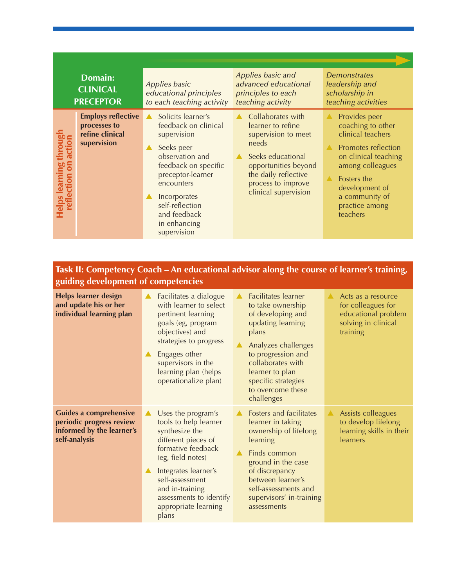|                                                       | <b>Domain:</b><br><b>CLINICAL</b><br><b>PRECEPTOR</b>                       | <b>Applies basic</b><br>educational principles<br>to each teaching activity                                                                                                                                                                                                     | Applies basic and<br>advanced educational<br>principles to each<br>teaching activity                                                                                                      | <b>Demonstrates</b><br>leadership and<br>scholarship in<br>teaching activities                                                                                                                                                  |
|-------------------------------------------------------|-----------------------------------------------------------------------------|---------------------------------------------------------------------------------------------------------------------------------------------------------------------------------------------------------------------------------------------------------------------------------|-------------------------------------------------------------------------------------------------------------------------------------------------------------------------------------------|---------------------------------------------------------------------------------------------------------------------------------------------------------------------------------------------------------------------------------|
| <b>delps learning through</b><br>reflection on action | <b>Employs reflective</b><br>processes to<br>refine clinical<br>supervision | Solicits learner's<br>feedback on clinical<br>supervision<br>Seeks peer<br>$\blacktriangle$<br>observation and<br>feedback on specific<br>preceptor-learner<br>encounters<br>Incorporates<br>$\blacktriangle$<br>self-reflection<br>and feedback<br>in enhancing<br>supervision | Collaborates with<br>learner to refine<br>supervision to meet<br>needs<br>Seeks educational<br>opportunities beyond<br>the daily reflective<br>process to improve<br>clinical supervision | Provides peer<br>$\blacktriangle$<br>coaching to other<br>clinical teachers<br>Promotes reflection<br>on clinical teaching<br>among colleagues<br>Fosters the<br>development of<br>a community of<br>practice among<br>teachers |

## Task II**: Competency Coach – An educational advisor along the course of learner's training, guiding development of competencies**

| <b>Helps learner design</b><br>and update his or her<br>individual learning plan                        | Facilitates a dialogue<br>$\blacktriangle$<br>with learner to select<br>pertinent learning<br>goals (eg, program<br>objectives) and<br>strategies to progress<br>Engages other<br>$\blacktriangle$<br>supervisors in the<br>learning plan (helps<br>operationalize plan)                          | <b>Facilitates</b> learner<br>to take ownership<br>of developing and<br>updating learning<br>plans<br>Analyzes challenges<br>to progression and<br>collaborates with<br>learner to plan<br>specific strategies<br>to overcome these<br>challenges | Acts as a resource<br>for colleagues for<br>educational problem<br>solving in clinical<br>training |
|---------------------------------------------------------------------------------------------------------|---------------------------------------------------------------------------------------------------------------------------------------------------------------------------------------------------------------------------------------------------------------------------------------------------|---------------------------------------------------------------------------------------------------------------------------------------------------------------------------------------------------------------------------------------------------|----------------------------------------------------------------------------------------------------|
| <b>Guides a comprehensive</b><br>periodic progress review<br>informed by the learner's<br>self-analysis | Uses the program's<br>$\blacktriangle$<br>tools to help learner<br>synthesize the<br>different pieces of<br>formative feedback<br>(eg, field notes)<br>Integrates learner's<br>$\blacktriangle$<br>self-assessment<br>and in-training<br>assessments to identify<br>appropriate learning<br>plans | Fosters and facilitates<br>learner in taking<br>ownership of lifelong<br>learning<br>Finds common<br>ground in the case<br>of discrepancy<br>between learner's<br>self-assessments and<br>supervisors' in-training<br>assessments                 | Assists colleagues<br>to develop lifelong<br>learning skills in their<br>learners                  |